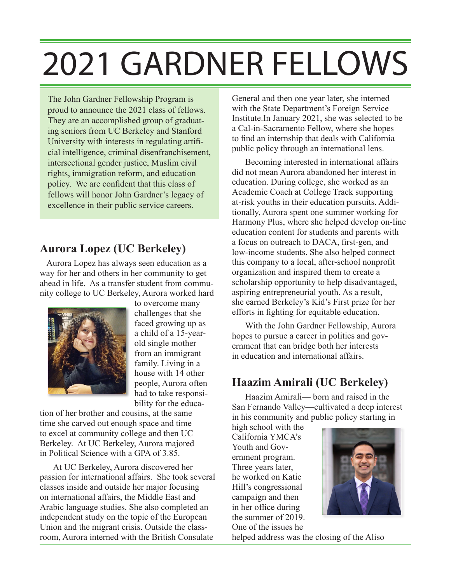# 2021 GARDNER FELLOWS

The John Gardner Fellowship Program is proud to announce the 2021 class of fellows. They are an accomplished group of graduating seniors from UC Berkeley and Stanford University with interests in regulating artificial intelligence, criminal disenfranchisement, intersectional gender justice, Muslim civil rights, immigration reform, and education policy. We are confident that this class of fellows will honor John Gardner's legacy of excellence in their public service careers.

# **Aurora Lopez (UC Berkeley)**

Aurora Lopez has always seen education as a way for her and others in her community to get ahead in life. As a transfer student from community college to UC Berkeley, Aurora worked hard



to overcome many challenges that she faced growing up as a child of a 15-yearold single mother from an immigrant family. Living in a house with 14 other people, Aurora often had to take responsibility for the educa-

tion of her brother and cousins, at the same time she carved out enough space and time to excel at community college and then UC Berkeley. At UC Berkeley, Aurora majored in Political Science with a GPA of 3.85.

At UC Berkeley, Aurora discovered her passion for international affairs. She took several classes inside and outside her major focusing on international affairs, the Middle East and Arabic language studies. She also completed an independent study on the topic of the European Union and the migrant crisis. Outside the classroom, Aurora interned with the British Consulate

General and then one year later, she interned with the State Department's Foreign Service Institute.In January 2021, she was selected to be a Cal-in-Sacramento Fellow, where she hopes to find an internship that deals with California public policy through an international lens.

Becoming interested in international affairs did not mean Aurora abandoned her interest in education. During college, she worked as an Academic Coach at College Track supporting at-risk youths in their education pursuits. Additionally, Aurora spent one summer working for Harmony Plus, where she helped develop on-line education content for students and parents with a focus on outreach to DACA, first-gen, and low-income students. She also helped connect this company to a local, after-school nonprofit organization and inspired them to create a scholarship opportunity to help disadvantaged, aspiring entrepreneurial youth. As a result, she earned Berkeley's Kid's First prize for her efforts in fighting for equitable education.

With the John Gardner Fellowship, Aurora hopes to pursue a career in politics and government that can bridge both her interests in education and international affairs.

#### **Haazim Amirali (UC Berkeley)**

Haazim Amirali— born and raised in the San Fernando Valley—cultivated a deep interest in his community and public policy starting in

high school with the California YMCA's Youth and Government program. Three years later, he worked on Katie Hill's congressional campaign and then in her office during the summer of 2019. One of the issues he



helped address was the closing of the Aliso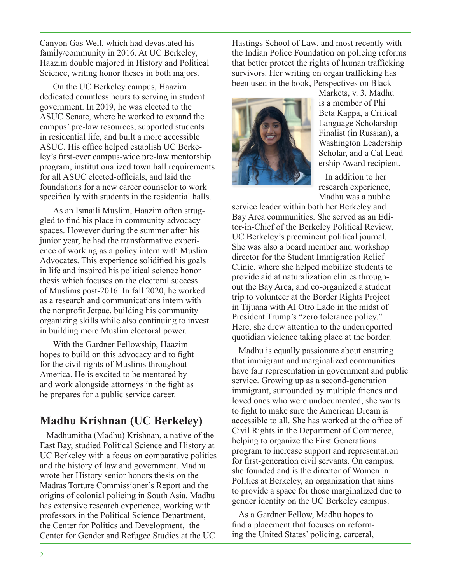Canyon Gas Well, which had devastated his family/community in 2016. At UC Berkeley, Haazim double majored in History and Political Science, writing honor theses in both majors.

On the UC Berkeley campus, Haazim dedicated countless hours to serving in student government. In 2019, he was elected to the ASUC Senate, where he worked to expand the campus' pre-law resources, supported students in residential life, and built a more accessible ASUC. His office helped establish UC Berkeley's first-ever campus-wide pre-law mentorship program, institutionalized town hall requirements for all ASUC elected-officials, and laid the foundations for a new career counselor to work specifically with students in the residential halls.

As an Ismaili Muslim, Haazim often struggled to find his place in community advocacy spaces. However during the summer after his junior year, he had the transformative experience of working as a policy intern with Muslim Advocates. This experience solidified his goals in life and inspired his political science honor thesis which focuses on the electoral success of Muslims post-2016. In fall 2020, he worked as a research and communications intern with the nonprofit Jetpac, building his community organizing skills while also continuing to invest in building more Muslim electoral power.

With the Gardner Fellowship, Haazim hopes to build on this advocacy and to fight for the civil rights of Muslims throughout America. He is excited to be mentored by and work alongside attorneys in the fight as he prepares for a public service career.

### **Madhu Krishnan (UC Berkeley)**

Madhumitha (Madhu) Krishnan, a native of the East Bay, studied Political Science and History at UC Berkeley with a focus on comparative politics and the history of law and government. Madhu wrote her History senior honors thesis on the Madras Torture Commissioner's Report and the origins of colonial policing in South Asia. Madhu has extensive research experience, working with professors in the Political Science Department, the Center for Politics and Development, the Center for Gender and Refugee Studies at the UC

Hastings School of Law, and most recently with the Indian Police Foundation on policing reforms that better protect the rights of human trafficking survivors. Her writing on organ trafficking has been used in the book, Perspectives on Black



Markets, v. 3. Madhu is a member of Phi Beta Kappa, a Critical Language Scholarship Finalist (in Russian), a Washington Leadership Scholar, and a Cal Leadership Award recipient.

In addition to her research experience, Madhu was a public

service leader within both her Berkeley and Bay Area communities. She served as an Editor-in-Chief of the Berkeley Political Review, UC Berkeley's preeminent political journal. She was also a board member and workshop director for the Student Immigration Relief Clinic, where she helped mobilize students to provide aid at naturalization clinics throughout the Bay Area, and co-organized a student trip to volunteer at the Border Rights Project in Tijuana with Al Otro Lado in the midst of President Trump's "zero tolerance policy." Here, she drew attention to the underreported quotidian violence taking place at the border.

Madhu is equally passionate about ensuring that immigrant and marginalized communities have fair representation in government and public service. Growing up as a second-generation immigrant, surrounded by multiple friends and loved ones who were undocumented, she wants to fight to make sure the American Dream is accessible to all. She has worked at the office of Civil Rights in the Department of Commerce, helping to organize the First Generations program to increase support and representation for first-generation civil servants. On campus, she founded and is the director of Women in Politics at Berkeley, an organization that aims to provide a space for those marginalized due to gender identity on the UC Berkeley campus.

As a Gardner Fellow, Madhu hopes to find a placement that focuses on reforming the United States' policing, carceral,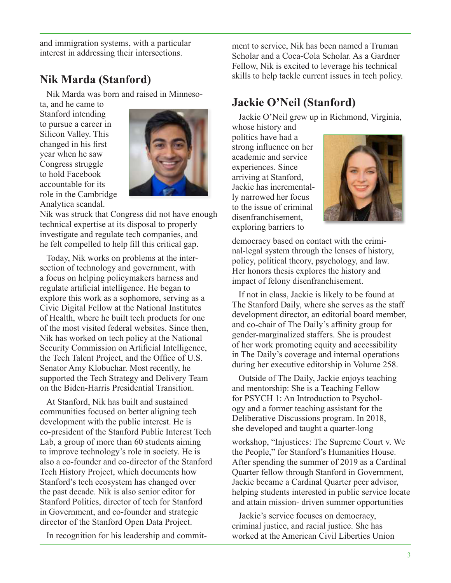and immigration systems, with a particular interest in addressing their intersections.

### **Nik Marda (Stanford)**

Nik Marda was born and raised in Minneso-

ta, and he came to Stanford intending to pursue a career in Silicon Valley. This changed in his first year when he saw Congress struggle to hold Facebook accountable for its role in the Cambridge Analytica scandal.



Nik was struck that Congress did not have enough technical expertise at its disposal to properly investigate and regulate tech companies, and he felt compelled to help fill this critical gap.

Today, Nik works on problems at the intersection of technology and government, with a focus on helping policymakers harness and regulate artificial intelligence. He began to explore this work as a sophomore, serving as a Civic Digital Fellow at the National Institutes of Health, where he built tech products for one of the most visited federal websites. Since then, Nik has worked on tech policy at the National Security Commission on Artificial Intelligence, the Tech Talent Project, and the Office of U.S. Senator Amy Klobuchar. Most recently, he supported the Tech Strategy and Delivery Team on the Biden-Harris Presidential Transition.

At Stanford, Nik has built and sustained communities focused on better aligning tech development with the public interest. He is co-president of the Stanford Public Interest Tech Lab, a group of more than 60 students aiming to improve technology's role in society. He is also a co-founder and co-director of the Stanford Tech History Project, which documents how Stanford's tech ecosystem has changed over the past decade. Nik is also senior editor for Stanford Politics, director of tech for Stanford in Government, and co-founder and strategic director of the Stanford Open Data Project.

In recognition for his leadership and commit-

ment to service, Nik has been named a Truman Scholar and a Coca-Cola Scholar. As a Gardner Fellow, Nik is excited to leverage his technical skills to help tackle current issues in tech policy.

# **Jackie O'Neil (Stanford)**

Jackie O'Neil grew up in Richmond, Virginia, whose history and

politics have had a strong influence on her academic and service experiences. Since arriving at Stanford, Jackie has incrementally narrowed her focus to the issue of criminal disenfranchisement, exploring barriers to



democracy based on contact with the criminal-legal system through the lenses of history, policy, political theory, psychology, and law. Her honors thesis explores the history and impact of felony disenfranchisement.

If not in class, Jackie is likely to be found at The Stanford Daily, where she serves as the staff development director, an editorial board member, and co-chair of The Daily's affinity group for gender-marginalized staffers. She is proudest of her work promoting equity and accessibility in The Daily's coverage and internal operations during her executive editorship in Volume 258.

Outside of The Daily, Jackie enjoys teaching and mentorship: She is a Teaching Fellow for PSYCH 1: An Introduction to Psychology and a former teaching assistant for the Deliberative Discussions program. In 2018, she developed and taught a quarter-long

workshop, "Injustices: The Supreme Court v. We the People," for Stanford's Humanities House. After spending the summer of 2019 as a Cardinal Quarter fellow through Stanford in Government, Jackie became a Cardinal Quarter peer advisor, helping students interested in public service locate and attain mission- driven summer opportunities

Jackie's service focuses on democracy, criminal justice, and racial justice. She has worked at the American Civil Liberties Union